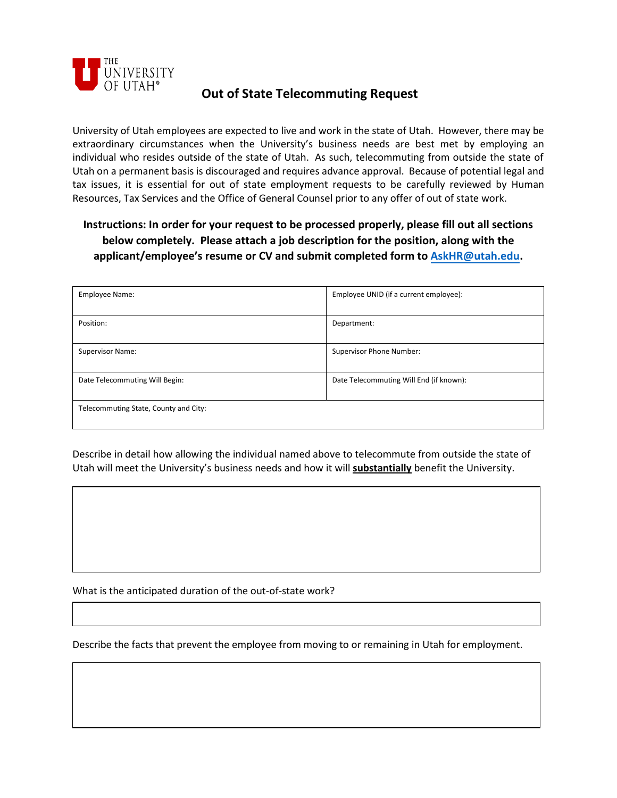

## **Out of State Telecommuting Request**

University of Utah employees are expected to live and work in the state of Utah. However, there may be extraordinary circumstances when the University's business needs are best met by employing an individual who resides outside of the state of Utah. As such, telecommuting from outside the state of Utah on a permanent basis is discouraged and requires advance approval. Because of potential legal and tax issues, it is essential for out of state employment requests to be carefully reviewed by Human Resources, Tax Services and the Office of General Counsel prior to any offer of out of state work.

## **Instructions: In order for your request to be processed properly, please fill out all sections below completely. Please attach a job description for the position, along with the applicant/employee's resume or CV and submit completed form to [AskHR@utah](mailto:AskHR@utah.edu).edu.**

| Employee Name:                        | Employee UNID (if a current employee):  |
|---------------------------------------|-----------------------------------------|
| Position:                             | Department:                             |
| Supervisor Name:                      | Supervisor Phone Number:                |
| Date Telecommuting Will Begin:        | Date Telecommuting Will End (if known): |
| Telecommuting State, County and City: |                                         |

Describe in detail how allowing the individual named above to telecommute from outside the state of Utah will meet the University's business needs and how it will **substantially** benefit the University.

What is the anticipated duration of the out-of-state work?

Describe the facts that prevent the employee from moving to or remaining in Utah for employment.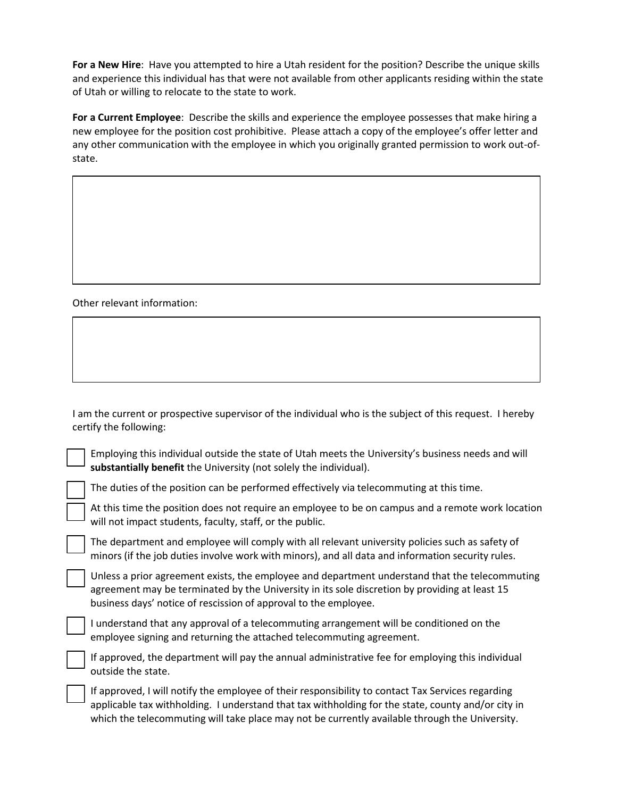**For a New Hire**: Have you attempted to hire a Utah resident for the position? Describe the unique skills and experience this individual has that were not available from other applicants residing within the state of Utah or willing to relocate to the state to work.

**For a Current Employee**: Describe the skills and experience the employee possesses that make hiring a new employee for the position cost prohibitive. Please attach a copy of the employee's offer letter and any other communication with the employee in which you originally granted permission to work out-ofstate.

Other relevant information:

I am the current or prospective supervisor of the individual who is the subject of this request. I hereby certify the following:

Employing this individual outside the state of Utah meets the University's business needs and will **substantially benefit** the University (not solely the individual).

The duties of the position can be performed effectively via telecommuting at this time.

At this time the position does not require an employee to be on campus and a remote work location will not impact students, faculty, staff, or the public.

The department and employee will comply with all relevant university policies such as safety of minors (if the job duties involve work with minors), and all data and information security rules.

Unless a prior agreement exists, the employee and department understand that the telecommuting agreement may be terminated by the University in its sole discretion by providing at least 15 business days' notice of rescission of approval to the employee.

☐ I understand that any approval of a telecommuting arrangement will be conditioned on the employee signing and returning the attached telecommuting agreement.

If approved, the department will pay the annual administrative fee for employing this individual outside the state.

If approved, I will notify the employee of their responsibility to contact Tax Services regarding applicable tax withholding. I understand that tax withholding for the state, county and/or city in which the telecommuting will take place may not be currently available through the University.